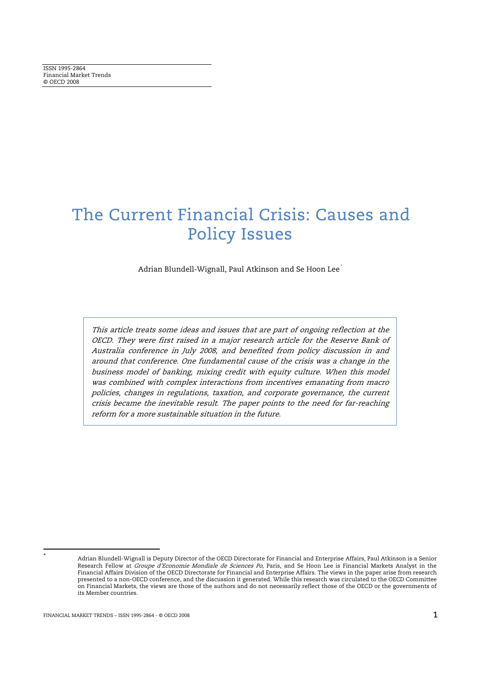# The Current Financial Crisis: Causes and Policy Issues

Adrian Blundell-Wignall, Paul Atkinson and Se Hoon Lee \*

This article treats some ideas and issues that are part of ongoing reflection at the OECD. They were first raised in a major research article for the Reserve Bank of Australia conference in July 2008, and benefited from policy discussion in and around that conference. One fundamental cause of the crisis was a change in the business model of banking, mixing credit with equity culture. When this model was combined with complex interactions from incentives emanating from macro policies, changes in regulations, taxation, and corporate governance, the current crisis became the inevitable result. The paper points to the need for far-reaching reform for a more sustainable situation in the future.

 $\ddot{\phantom{a}}$ 

<sup>\*</sup> Adrian Blundell-Wignall is Deputy Director of the OECD Directorate for Financial and Enterprise Affairs, Paul Atkinson is a Senior Research Fellow at Groupe d'Economie Mondiale de Sciences Po, Paris, and Se Hoon Lee is Financial Markets Analyst in the Financial Affairs Division of the OECD Directorate for Financial and Enterprise Affairs. The views in the paper arise from research presented to a non-OECD conference, and the discussion it generated. While this research was circulated to the OECD Committee on Financial Markets, the views are those of the authors and do not necessarily reflect those of the OECD or the governments of its Member countries.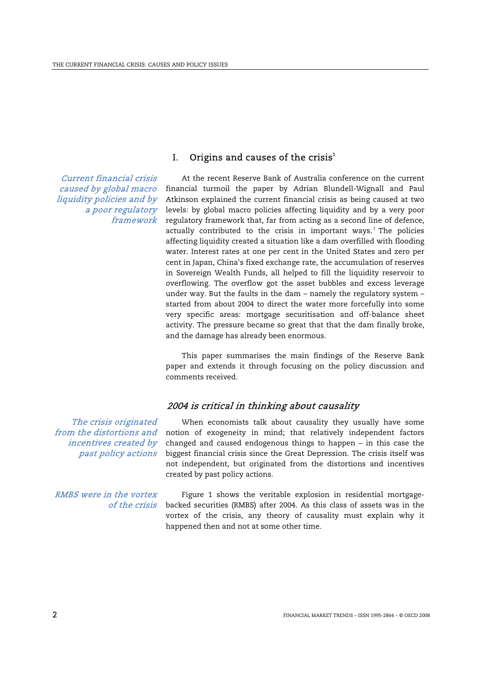Current financial crisis caused by global macro liquidity policies and by a poor regulatory framework

# I. Origins and causes of the crisis $^1$

At the recent Reserve Bank of Australia conference on the current financial turmoil the paper by Adrian Blundell-Wignall and Paul Atkinson explained the current financial crisis as being caused at two levels: by global macro policies affecting liquidity and by a very poor regulatory framework that, far from acting as a second line of defence, actually contributed to the crisis in important ways. $2$  The policies affecting liquidity created a situation like a dam overfilled with flooding water. Interest rates at one per cent in the United States and zero per cent in Japan, China's fixed exchange rate, the accumulation of reserves in Sovereign Wealth Funds, all helped to fill the liquidity reservoir to overflowing. The overflow got the asset bubbles and excess leverage under way. But the faults in the dam – namely the regulatory system – started from about 2004 to direct the water more forcefully into some very specific areas: mortgage securitisation and off-balance sheet activity. The pressure became so great that that the dam finally broke, and the damage has already been enormous.

 This paper summarises the main findings of the Reserve Bank paper and extends it through focusing on the policy discussion and comments received.

# 2004 is critical in thinking about causality

The crisis originated from the distortions and incentives created by past policy actions

RMBS were in the vortex of the crisis

When economists talk about causality they usually have some notion of exogeneity in mind; that relatively independent factors changed and caused endogenous things to happen – in this case the biggest financial crisis since the Great Depression. The crisis itself was not independent, but originated from the distortions and incentives created by past policy actions.

Figure 1 shows the veritable explosion in residential mortgagebacked securities (RMBS) after 2004. As this class of assets was in the vortex of the crisis, any theory of causality must explain why it happened then and not at some other time.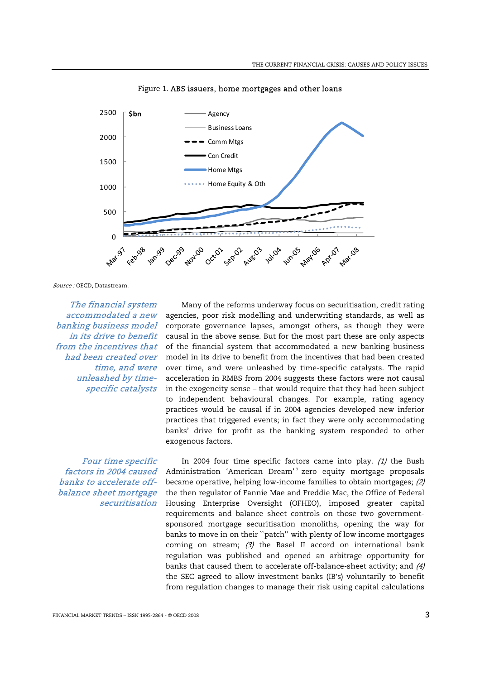

Figure 1. ABS issuers, home mortgages and other loans

Source : OECD, Datastream.

The financial system accommodated a new banking business model in its drive to benefit from the incentives that had been created over time, and were unleashed by timespecific catalysts

Four time specific factors in 2004 caused banks to accelerate offbalance sheet mortgage securitisation

Many of the reforms underway focus on securitisation, credit rating agencies, poor risk modelling and underwriting standards, as well as corporate governance lapses, amongst others, as though they were causal in the above sense. But for the most part these are only aspects of the financial system that accommodated a new banking business model in its drive to benefit from the incentives that had been created over time, and were unleashed by time-specific catalysts. The rapid acceleration in RMBS from 2004 suggests these factors were not causal in the exogeneity sense – that would require that they had been subject to independent behavioural changes. For example, rating agency practices would be causal if in 2004 agencies developed new inferior practices that triggered events; in fact they were only accommodating banks' drive for profit as the banking system responded to other exogenous factors.

In 2004 four time specific factors came into play.  $(1)$  the Bush Administration 'American Dream'<sup>3</sup> zero equity mortgage proposals became operative, helping low-income families to obtain mortgages; (2) the then regulator of Fannie Mae and Freddie Mac, the Office of Federal Housing Enterprise Oversight (OFHEO), imposed greater capital requirements and balance sheet controls on those two governmentsponsored mortgage securitisation monoliths, opening the way for banks to move in on their ``patch'' with plenty of low income mortgages coming on stream; (3) the Basel II accord on international bank regulation was published and opened an arbitrage opportunity for banks that caused them to accelerate off-balance-sheet activity; and (4) the SEC agreed to allow investment banks (IB's) voluntarily to benefit from regulation changes to manage their risk using capital calculations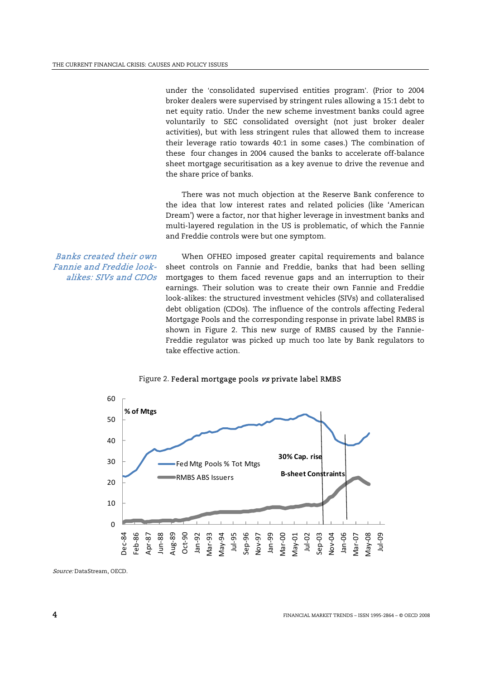under the 'consolidated supervised entities program'. (Prior to 2004 broker dealers were supervised by stringent rules allowing a 15:1 debt to net equity ratio. Under the new scheme investment banks could agree voluntarily to SEC consolidated oversight (not just broker dealer activities), but with less stringent rules that allowed them to increase their leverage ratio towards 40:1 in some cases.) The combination of these four changes in 2004 caused the banks to accelerate off-balance sheet mortgage securitisation as a key avenue to drive the revenue and the share price of banks.

 There was not much objection at the Reserve Bank conference to the idea that low interest rates and related policies (like 'American Dream') were a factor, nor that higher leverage in investment banks and multi-layered regulation in the US is problematic, of which the Fannie and Freddie controls were but one symptom.

Banks created their own Fannie and Freddie lookalikes: SIVs and CDOs

When OFHEO imposed greater capital requirements and balance sheet controls on Fannie and Freddie, banks that had been selling mortgages to them faced revenue gaps and an interruption to their earnings. Their solution was to create their own Fannie and Freddie look-alikes: the structured investment vehicles (SIVs) and collateralised debt obligation (CDOs). The influence of the controls affecting Federal Mortgage Pools and the corresponding response in private label RMBS is shown in Figure 2. This new surge of RMBS caused by the Fannie-Freddie regulator was picked up much too late by Bank regulators to take effective action.



#### Figure 2. Federal mortgage pools vs private label RMBS

Source: DataStream, OECD.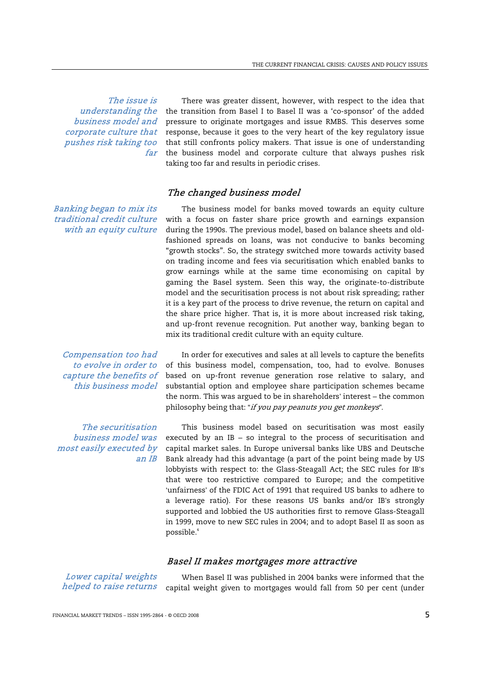The issue is understanding the business model and corporate culture that pushes risk taking too far

Banking began to mix its traditional credit culture with an equity culture

Compensation too had to evolve in order to capture the benefits of this business model

The securitisation business model was most easily executed by an IB

There was greater dissent, however, with respect to the idea that the transition from Basel I to Basel II was a 'co-sponsor' of the added pressure to originate mortgages and issue RMBS. This deserves some response, because it goes to the very heart of the key regulatory issue that still confronts policy makers. That issue is one of understanding the business model and corporate culture that always pushes risk taking too far and results in periodic crises.

# The changed business model

The business model for banks moved towards an equity culture with a focus on faster share price growth and earnings expansion during the 1990s. The previous model, based on balance sheets and oldfashioned spreads on loans, was not conducive to banks becoming "growth stocks". So, the strategy switched more towards activity based on trading income and fees via securitisation which enabled banks to grow earnings while at the same time economising on capital by gaming the Basel system. Seen this way, the originate-to-distribute model and the securitisation process is not about risk spreading; rather it is a key part of the process to drive revenue, the return on capital and the share price higher. That is, it is more about increased risk taking, and up-front revenue recognition. Put another way, banking began to mix its traditional credit culture with an equity culture.

In order for executives and sales at all levels to capture the benefits of this business model, compensation, too, had to evolve. Bonuses based on up-front revenue generation rose relative to salary, and substantial option and employee share participation schemes became the norm. This was argued to be in shareholders' interest – the common philosophy being that: "if you pay peanuts you get monkeys*"*.

This business model based on securitisation was most easily executed by an IB – so integral to the process of securitisation and capital market sales. In Europe universal banks like UBS and Deutsche Bank already had this advantage (a part of the point being made by US lobbyists with respect to: the Glass-Steagall Act; the SEC rules for IB's that were too restrictive compared to Europe; and the competitive 'unfairness' of the FDIC Act of 1991 that required US banks to adhere to a leverage ratio). For these reasons US banks and/or IB's strongly supported and lobbied the US authorities first to remove Glass-Steagall in 1999, move to new SEC rules in 2004; and to adopt Basel II as soon as possible.4

## Basel II makes mortgages more attractive

Lower capital weights helped to raise returns

When Basel II was published in 2004 banks were informed that the capital weight given to mortgages would fall from 50 per cent (under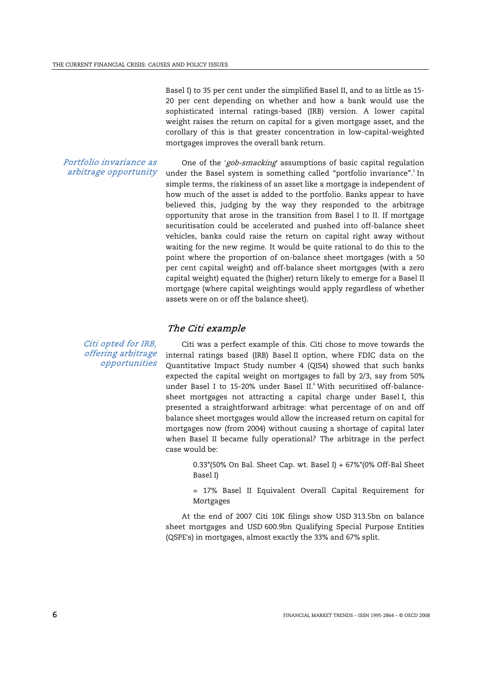Basel I) to 35 per cent under the simplified Basel II, and to as little as 15- 20 per cent depending on whether and how a bank would use the sophisticated internal ratings-based (IRB) version. A lower capital weight raises the return on capital for a given mortgage asset, and the corollary of this is that greater concentration in low-capital-weighted mortgages improves the overall bank return.

Portfolio invariance as arbitrage opportunity

Citi opted for IRB,

One of the 'gob-smacking*'* assumptions of basic capital regulation under the Basel system is something called "portfolio invariance".<sup>5</sup> In simple terms, the riskiness of an asset like a mortgage is independent of how much of the asset is added to the portfolio. Banks appear to have believed this, judging by the way they responded to the arbitrage opportunity that arose in the transition from Basel I to II. If mortgage securitisation could be accelerated and pushed into off-balance sheet vehicles, banks could raise the return on capital right away without waiting for the new regime. It would be quite rational to do this to the point where the proportion of on-balance sheet mortgages (with a 50 per cent capital weight) and off-balance sheet mortgages (with a zero capital weight) equated the (higher) return likely to emerge for a Basel II mortgage (where capital weightings would apply regardless of whether assets were on or off the balance sheet).

## The Citi example

offering arbitrage opportunities Citi was a perfect example of this. Citi chose to move towards the internal ratings based (IRB) Basel II option, where FDIC data on the Quantitative Impact Study number 4 (QIS4) showed that such banks expected the capital weight on mortgages to fall by 2/3, say from 50% under Basel I to 15-20% under Basel II.<sup>6</sup> With securitised off-balancesheet mortgages not attracting a capital charge under Basel I, this presented a straightforward arbitrage: what percentage of on and off balance sheet mortgages would allow the increased return on capital for mortgages now (from 2004) without causing a shortage of capital later when Basel II became fully operational? The arbitrage in the perfect case would be:

> 0.33 $*(50\%$  On Bal. Sheet Cap. wt. Basel I) + 67% $*(0\%$  Off-Bal Sheet Basel I)

> = 17% Basel II Equivalent Overall Capital Requirement for Mortgages

 At the end of 2007 Citi 10K filings show USD 313.5bn on balance sheet mortgages and USD 600.9bn Qualifying Special Purpose Entities (QSPE's) in mortgages, almost exactly the 33% and 67% split.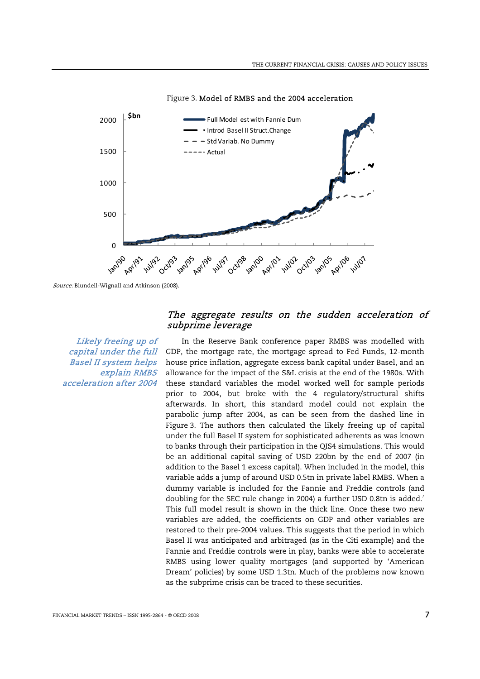

Figure 3. Model of RMBS and the 2004 acceleration

Likely freeing up of capital under the full Basel II system helps explain RMBS acceleration after 2004

# The aggregate results on the sudden acceleration of subprime leverage

In the Reserve Bank conference paper RMBS was modelled with GDP, the mortgage rate, the mortgage spread to Fed Funds, 12-month house price inflation, aggregate excess bank capital under Basel, and an allowance for the impact of the S&L crisis at the end of the 1980s. With these standard variables the model worked well for sample periods prior to 2004, but broke with the 4 regulatory/structural shifts afterwards. In short, this standard model could not explain the parabolic jump after 2004, as can be seen from the dashed line in Figure 3. The authors then calculated the likely freeing up of capital under the full Basel II system for sophisticated adherents as was known to banks through their participation in the QIS4 simulations. This would be an additional capital saving of USD 220bn by the end of 2007 (in addition to the Basel 1 excess capital). When included in the model, this variable adds a jump of around USD 0.5tn in private label RMBS. When a dummy variable is included for the Fannie and Freddie controls (and doubling for the SEC rule change in 2004) a further USD 0.8tn is added.<sup>7</sup> This full model result is shown in the thick line. Once these two new variables are added, the coefficients on GDP and other variables are restored to their pre-2004 values. This suggests that the period in which Basel II was anticipated and arbitraged (as in the Citi example) and the Fannie and Freddie controls were in play, banks were able to accelerate RMBS using lower quality mortgages (and supported by 'American Dream' policies) by some USD 1.3tn. Much of the problems now known as the subprime crisis can be traced to these securities.

Source: Blundell-Wignall and Atkinson (2008).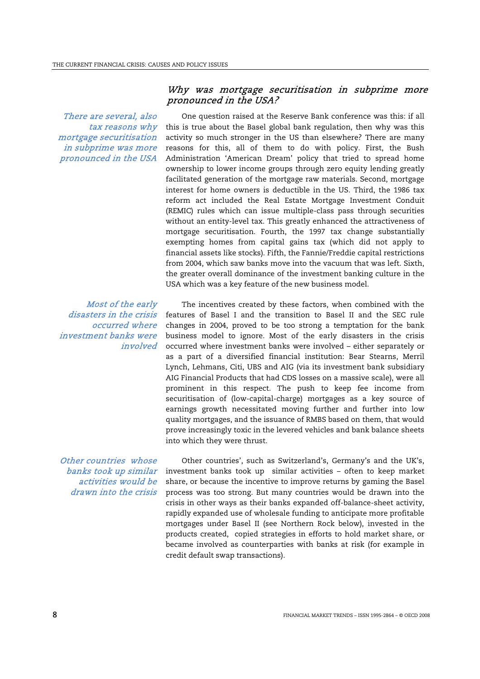There are several, also tax reasons why mortgage securitisation in subprime was more pronounced in the USA

## Most of the early disasters in the crisis occurred where investment banks were involved

Other countries whose banks took up similar activities would be drawn into the crisis

# Why was mortgage securitisation in subprime more pronounced in the USA?

One question raised at the Reserve Bank conference was this: if all this is true about the Basel global bank regulation, then why was this activity so much stronger in the US than elsewhere? There are many reasons for this, all of them to do with policy. First, the Bush Administration 'American Dream' policy that tried to spread home ownership to lower income groups through zero equity lending greatly facilitated generation of the mortgage raw materials. Second, mortgage interest for home owners is deductible in the US. Third, the 1986 tax reform act included the Real Estate Mortgage Investment Conduit (REMIC) rules which can issue multiple-class pass through securities without an entity-level tax. This greatly enhanced the attractiveness of mortgage securitisation. Fourth, the 1997 tax change substantially exempting homes from capital gains tax (which did not apply to financial assets like stocks). Fifth, the Fannie/Freddie capital restrictions from 2004, which saw banks move into the vacuum that was left. Sixth, the greater overall dominance of the investment banking culture in the USA which was a key feature of the new business model.

The incentives created by these factors, when combined with the features of Basel I and the transition to Basel II and the SEC rule changes in 2004, proved to be too strong a temptation for the bank business model to ignore. Most of the early disasters in the crisis occurred where investment banks were involved – either separately or as a part of a diversified financial institution: Bear Stearns, Merril Lynch, Lehmans, Citi, UBS and AIG (via its investment bank subsidiary AIG Financial Products that had CDS losses on a massive scale), were all prominent in this respect. The push to keep fee income from securitisation of (low-capital-charge) mortgages as a key source of earnings growth necessitated moving further and further into low quality mortgages, and the issuance of RMBS based on them, that would prove increasingly toxic in the levered vehicles and bank balance sheets into which they were thrust.

Other countries', such as Switzerland's, Germany's and the UK's, investment banks took up similar activities – often to keep market share, or because the incentive to improve returns by gaming the Basel process was too strong. But many countries would be drawn into the crisis in other ways as their banks expanded off-balance-sheet activity, rapidly expanded use of wholesale funding to anticipate more profitable mortgages under Basel II (see Northern Rock below), invested in the products created, copied strategies in efforts to hold market share, or became involved as counterparties with banks at risk (for example in credit default swap transactions).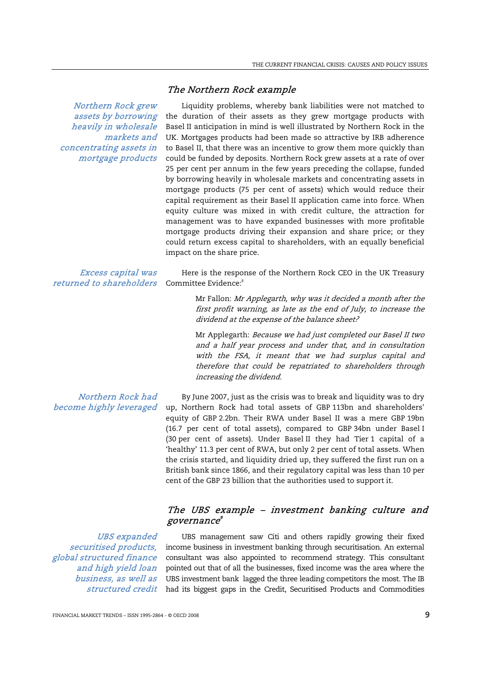## The Northern Rock example

Northern Rock grew assets by borrowing heavily in wholesale markets and concentrating assets in mortgage products

Liquidity problems, whereby bank liabilities were not matched to the duration of their assets as they grew mortgage products with Basel II anticipation in mind is well illustrated by Northern Rock in the UK. Mortgages products had been made so attractive by IRB adherence to Basel II, that there was an incentive to grow them more quickly than could be funded by deposits. Northern Rock grew assets at a rate of over 25 per cent per annum in the few years preceding the collapse, funded by borrowing heavily in wholesale markets and concentrating assets in mortgage products (75 per cent of assets) which would reduce their capital requirement as their Basel II application came into force. When equity culture was mixed in with credit culture, the attraction for management was to have expanded businesses with more profitable mortgage products driving their expansion and share price; or they could return excess capital to shareholders, with an equally beneficial impact on the share price.

#### Excess capital was returned to shareholders

Here is the response of the Northern Rock CEO in the UK Treasury Committee Evidence:<sup>8</sup>

> Mr Fallon: Mr Applegarth, why was it decided a month after the first profit warning, as late as the end of July, to increase the dividend at the expense of the balance sheet?

> Mr Applegarth: Because we had just completed our Basel II two and a half year process and under that, and in consultation with the FSA, it meant that we had surplus capital and therefore that could be repatriated to shareholders through increasing the dividend.

Northern Rock had become highly leveraged

By June 2007, just as the crisis was to break and liquidity was to dry up, Northern Rock had total assets of GBP 113bn and shareholders' equity of GBP 2.2bn. Their RWA under Basel II was a mere GBP 19bn (16.7 per cent of total assets), compared to GBP 34bn under Basel I (30 per cent of assets). Under Basel II they had Tier 1 capital of a 'healthy' 11.3 per cent of RWA, but only 2 per cent of total assets. When the crisis started, and liquidity dried up, they suffered the first run on a British bank since 1866, and their regulatory capital was less than 10 per cent of the GBP 23 billion that the authorities used to support it.

# The UBS example – investment banking culture and governance $^\textit{9}$

UBS expanded securitised products, global structured finance and high yield loan business, as well as

*structured credit* had its biggest gaps in the Credit, Securitised Products and Commodities UBS management saw Citi and others rapidly growing their fixed income business in investment banking through securitisation. An external consultant was also appointed to recommend strategy. This consultant pointed out that of all the businesses, fixed income was the area where the UBS investment bank lagged the three leading competitors the most. The IB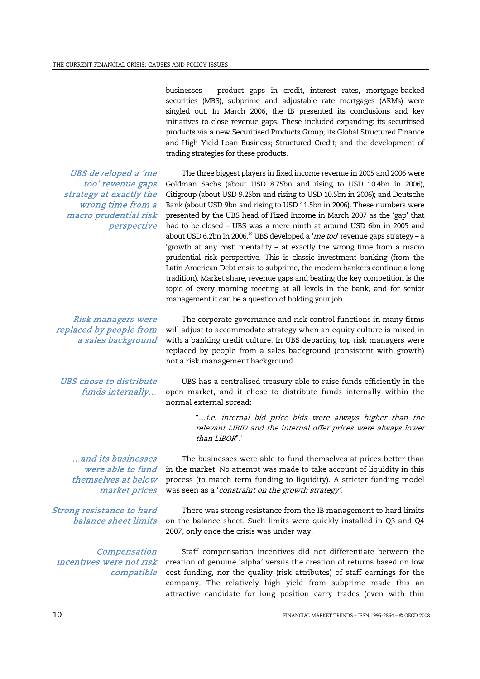businesses – product gaps in credit, interest rates, mortgage-backed securities (MBS), subprime and adjustable rate mortgages (ARMs) were singled out. In March 2006, the IB presented its conclusions and key initiatives to close revenue gaps. These included expanding: its securitised products via a new Securitised Products Group; its Global Structured Finance and High Yield Loan Business; Structured Credit; and the development of trading strategies for these products.

The three biggest players in fixed income revenue in 2005 and 2006 were Goldman Sachs (about USD 8.75bn and rising to USD 10.4bn in 2006), Citigroup (about USD 9.25bn and rising to USD 10.5bn in 2006); and Deutsche Bank (about USD 9bn and rising to USD 11.5bn in 2006). These numbers were presented by the UBS head of Fixed Income in March 2007 as the 'gap' that had to be closed – UBS was a mere ninth at around USD 6bn in 2005 and about USD 6.2bn in 2006.<sup>10</sup> UBS developed a 'me too' revenue gaps strategy - a 'growth at any cost' mentality – at exactly the wrong time from a macro prudential risk perspective. This is classic investment banking (from the Latin American Debt crisis to subprime, the modern bankers continue a long tradition). Market share, revenue gaps and beating the key competition is the topic of every morning meeting at all levels in the bank, and for senior

UBS developed a 'me too' revenue gaps strategy at exactly the wrong time from a macro prudential risk perspective

Risk managers were replaced by people from a sales background

UBS chose to distribute funds internally…

The corporate governance and risk control functions in many firms will adjust to accommodate strategy when an equity culture is mixed in with a banking credit culture. In UBS departing top risk managers were replaced by people from a sales background (consistent with growth) not a risk management background.

management it can be a question of holding your job.

UBS has a centralised treasury able to raise funds efficiently in the open market, and it chose to distribute funds internally within the normal external spread:

> "…i.e. internal bid price bids were always higher than the relevant LIBID and the internal offer prices were always lower than  $LIBOR$ ". $11$

…and its businesses were able to fund themselves at below market prices

Strong resistance to hard balance sheet limits

Compensation incentives were not risk compatible

The businesses were able to fund themselves at prices better than in the market. No attempt was made to take account of liquidity in this process (to match term funding to liquidity). A stricter funding model was seen as a 'constraint on the growth strategy'.

There was strong resistance from the IB management to hard limits on the balance sheet. Such limits were quickly installed in Q3 and Q4 2007, only once the crisis was under way.

Staff compensation incentives did not differentiate between the creation of genuine 'alpha' versus the creation of returns based on low cost funding, nor the quality (risk attributes) of staff earnings for the company. The relatively high yield from subprime made this an attractive candidate for long position carry trades (even with thin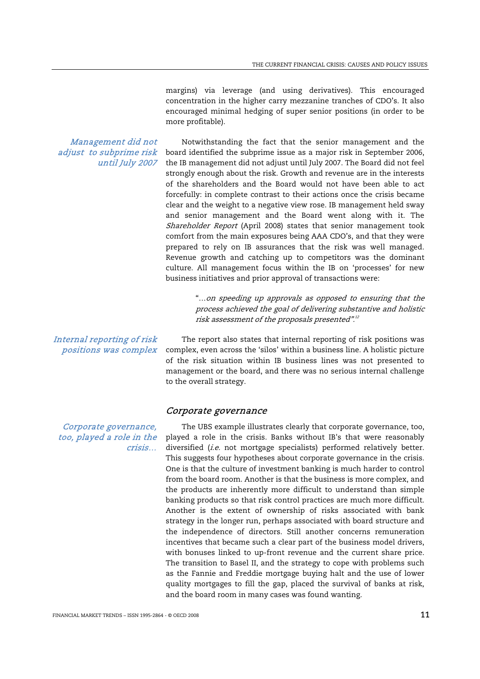margins) via leverage (and using derivatives). This encouraged concentration in the higher carry mezzanine tranches of CDO's. It also encouraged minimal hedging of super senior positions (in order to be more profitable).

Management did not adjust to subprime risk until July 2007

Notwithstanding the fact that the senior management and the board identified the subprime issue as a major risk in September 2006, the IB management did not adjust until July 2007. The Board did not feel strongly enough about the risk. Growth and revenue are in the interests of the shareholders and the Board would not have been able to act forcefully: in complete contrast to their actions once the crisis became clear and the weight to a negative view rose. IB management held sway and senior management and the Board went along with it. The Shareholder Report (April 2008) states that senior management took comfort from the main exposures being AAA CDO's, and that they were prepared to rely on IB assurances that the risk was well managed. Revenue growth and catching up to competitors was the dominant culture. All management focus within the IB on 'processes' for new business initiatives and prior approval of transactions were:

> "…on speeding up approvals as opposed to ensuring that the process achieved the goal of delivering substantive and holistic risk assessment of the proposals presented".<sup>12</sup>

The report also states that internal reporting of risk positions was complex, even across the 'silos' within a business line. A holistic picture of the risk situation within IB business lines was not presented to management or the board, and there was no serious internal challenge to the overall strategy.

#### Corporate governance

The UBS example illustrates clearly that corporate governance, too, played a role in the crisis. Banks without IB's that were reasonably diversified (i.e. not mortgage specialists) performed relatively better. This suggests four hypotheses about corporate governance in the crisis. One is that the culture of investment banking is much harder to control from the board room. Another is that the business is more complex, and the products are inherently more difficult to understand than simple banking products so that risk control practices are much more difficult. Another is the extent of ownership of risks associated with bank strategy in the longer run, perhaps associated with board structure and the independence of directors. Still another concerns remuneration incentives that became such a clear part of the business model drivers, with bonuses linked to up-front revenue and the current share price. The transition to Basel II, and the strategy to cope with problems such as the Fannie and Freddie mortgage buying halt and the use of lower quality mortgages to fill the gap, placed the survival of banks at risk, and the board room in many cases was found wanting.

Internal reporting of risk positions was complex

Corporate governance, too, played a role in the crisis…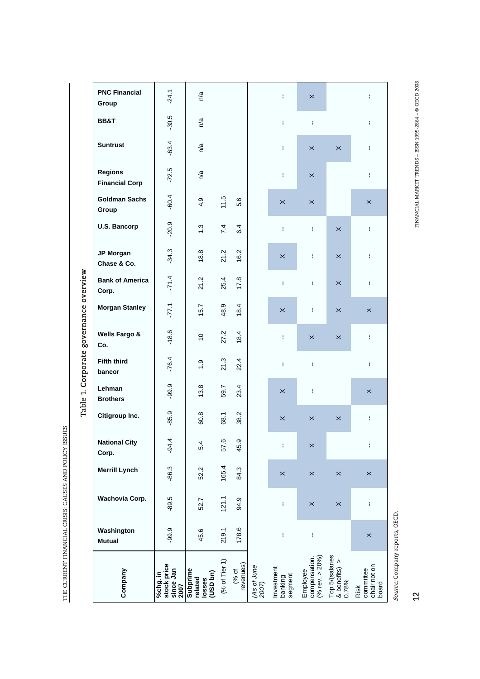| Table 1. Corporate governance overview | Wells Fargo &<br>Co.<br><b>Fifth third</b><br>bancor<br>Lehman          | $-18.6$<br>$-76.4$                           | $\overline{0}$<br>$\frac{0}{1}$<br>$\infty$ | 27.2<br>21.3   | 18.4<br>22.4       |                      | ł.<br>ŧ<br>$\times$              | $\times$<br>Ŧ<br>ŧ                              | $\times$                                  | ł.<br>ł.<br>$\times$                       |
|----------------------------------------|-------------------------------------------------------------------------|----------------------------------------------|---------------------------------------------|----------------|--------------------|----------------------|----------------------------------|-------------------------------------------------|-------------------------------------------|--------------------------------------------|
|                                        | <b>Brothers</b><br>Citigroup Inc.                                       | $-99.9$<br>$-85.9$                           | 13.<br>60.8                                 | 59.7<br>68.1   | 23.4<br>38.2       |                      | $\times$                         | $\times$                                        | $\times$                                  | ŧ.                                         |
|                                        | <b>National City</b><br>Corp.<br><b>Merrill Lynch</b><br>Wachovia Corp. | $-94.4$<br>$-86.3$                           | 5.4<br>52.2                                 | 57.6<br>165.4  | 45.9<br>84.3       |                      | ŧ<br>$\pmb{\times}$              | $\pmb{\times}$<br>$\times$                      | $\times$                                  | ł<br>$\pmb{\times}$                        |
|                                        | Washington<br><b>Mutual</b>                                             | $-89.5$<br>$-99.9$                           | 52.7<br>45.6                                | 121.1<br>219.1 | 94.9<br>178.6      |                      | ŧ<br>ŧ                           | $\pmb{\times}$<br>ł                             | $\times$                                  | ŧ<br>$\pmb{\times}$                        |
|                                        | Company                                                                 | stock price<br>since Jan<br>%chg. in<br>2007 | Subprime<br>losses<br>(USD bn)<br>related   | (% of Tier 1)  | (% of<br>revenues) | (As of June<br>2007) | Investment<br>banking<br>segment | compensation.<br>(% rev. > $20\%$ )<br>Employee | Top 5/(salaries<br>& benefits) ><br>0.78% | chair not on<br>committee<br>board<br>Risk |

THE CURRENT FINANCIAL CRISIS: CAUSES AND POLICY ISSUES

THE CURRENT FINANCIAL CRISIS: CAUSES AND POLICY ISSUES

FINANCIAL MARKET TRENDS – ISSN 1995-2864 – © OECD 2008  $12 \,$ 

Source: Company reports, OECD. Source: Company reports, OECD.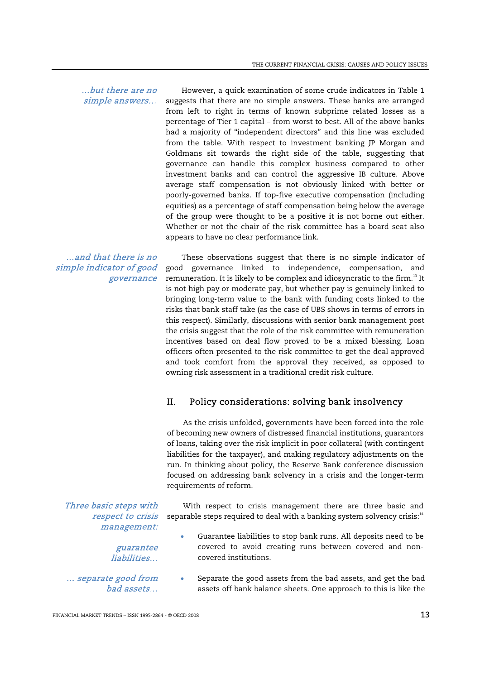…but there are no simple answers…

However, a quick examination of some crude indicators in Table 1 suggests that there are no simple answers. These banks are arranged from left to right in terms of known subprime related losses as a percentage of Tier 1 capital – from worst to best. All of the above banks had a majority of "independent directors" and this line was excluded from the table. With respect to investment banking JP Morgan and Goldmans sit towards the right side of the table, suggesting that governance can handle this complex business compared to other investment banks and can control the aggressive IB culture. Above average staff compensation is not obviously linked with better or poorly-governed banks. If top-five executive compensation (including equities) as a percentage of staff compensation being below the average of the group were thought to be a positive it is not borne out either. Whether or not the chair of the risk committee has a board seat also appears to have no clear performance link.

…and that there is no simple indicator of good governance

These observations suggest that there is no simple indicator of good governance linked to independence, compensation, and remuneration. It is likely to be complex and idiosyncratic to the firm.<sup>13</sup> It is not high pay or moderate pay, but whether pay is genuinely linked to bringing long-term value to the bank with funding costs linked to the risks that bank staff take (as the case of UBS shows in terms of errors in this respect). Similarly, discussions with senior bank management post the crisis suggest that the role of the risk committee with remuneration incentives based on deal flow proved to be a mixed blessing. Loan officers often presented to the risk committee to get the deal approved and took comfort from the approval they received, as opposed to owning risk assessment in a traditional credit risk culture.

# II. Policy considerations: solving bank insolvency

 As the crisis unfolded, governments have been forced into the role of becoming new owners of distressed financial institutions, guarantors of loans, taking over the risk implicit in poor collateral (with contingent liabilities for the taxpayer), and making regulatory adjustments on the run. In thinking about policy, the Reserve Bank conference discussion focused on addressing bank solvency in a crisis and the longer-term requirements of reform.

Three basic steps with respect to crisis management:

> guarantee liabilities…

… separate good from bad assets…

- With respect to crisis management there are three basic and separable steps required to deal with a banking system solvency crisis:<sup>14</sup>
	- Guarantee liabilities to stop bank runs. All deposits need to be covered to avoid creating runs between covered and noncovered institutions.
	- Separate the good assets from the bad assets, and get the bad assets off bank balance sheets. One approach to this is like the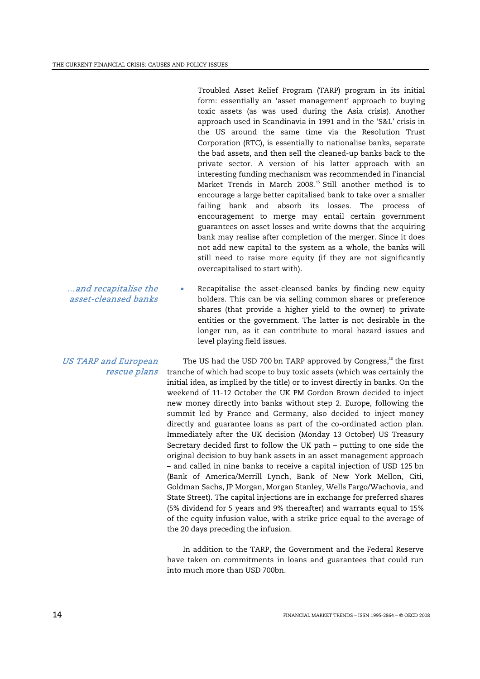Troubled Asset Relief Program (TARP) program in its initial form: essentially an 'asset management' approach to buying toxic assets (as was used during the Asia crisis). Another approach used in Scandinavia in 1991 and in the 'S&L' crisis in the US around the same time via the Resolution Trust Corporation (RTC), is essentially to nationalise banks, separate the bad assets, and then sell the cleaned-up banks back to the private sector. A version of his latter approach with an interesting funding mechanism was recommended in Financial Market Trends in March 2008.<sup>15</sup> Still another method is to encourage a large better capitalised bank to take over a smaller failing bank and absorb its losses. The process of encouragement to merge may entail certain government guarantees on asset losses and write downs that the acquiring bank may realise after completion of the merger. Since it does not add new capital to the system as a whole, the banks will still need to raise more equity (if they are not significantly overcapitalised to start with).

Recapitalise the asset-cleansed banks by finding new equity holders. This can be via selling common shares or preference shares (that provide a higher yield to the owner) to private entities or the government. The latter is not desirable in the longer run, as it can contribute to moral hazard issues and level playing field issues.

> The US had the USD 700 bn TARP approved by Congress,<sup>16</sup> the first tranche of which had scope to buy toxic assets (which was certainly the initial idea, as implied by the title) or to invest directly in banks. On the weekend of 11-12 October the UK PM Gordon Brown decided to inject new money directly into banks without step 2. Europe, following the summit led by France and Germany, also decided to inject money directly and guarantee loans as part of the co-ordinated action plan. Immediately after the UK decision (Monday 13 October) US Treasury Secretary decided first to follow the UK path – putting to one side the original decision to buy bank assets in an asset management approach – and called in nine banks to receive a capital injection of USD 125 bn (Bank of America/Merrill Lynch, Bank of New York Mellon, Citi, Goldman Sachs, JP Morgan, Morgan Stanley, Wells Fargo/Wachovia, and State Street). The capital injections are in exchange for preferred shares (5% dividend for 5 years and 9% thereafter) and warrants equal to 15% of the equity infusion value, with a strike price equal to the average of the 20 days preceding the infusion.

> In addition to the TARP, the Government and the Federal Reserve have taken on commitments in loans and guarantees that could run into much more than USD 700bn.

…and recapitalise the asset-cleansed banks

#### US TARP and European rescue plans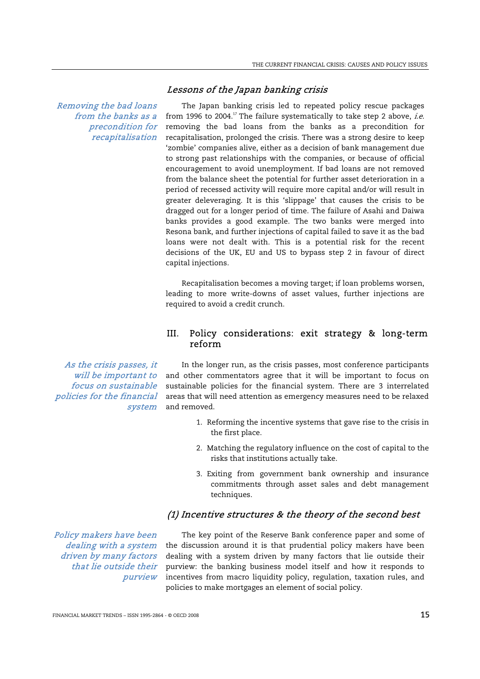Lessons of the Japan banking crisis

Removing the bad loans from the banks as a precondition for recapitalisation

The Japan banking crisis led to repeated policy rescue packages from 1996 to 2004.<sup>17</sup> The failure systematically to take step 2 above, *i.e.* removing the bad loans from the banks as a precondition for recapitalisation, prolonged the crisis. There was a strong desire to keep 'zombie' companies alive, either as a decision of bank management due to strong past relationships with the companies, or because of official encouragement to avoid unemployment. If bad loans are not removed from the balance sheet the potential for further asset deterioration in a period of recessed activity will require more capital and/or will result in greater deleveraging. It is this 'slippage' that causes the crisis to be dragged out for a longer period of time. The failure of Asahi and Daiwa banks provides a good example. The two banks were merged into Resona bank, and further injections of capital failed to save it as the bad loans were not dealt with. This is a potential risk for the recent decisions of the UK, EU and US to bypass step 2 in favour of direct capital injections.

 Recapitalisation becomes a moving target; if loan problems worsen, leading to more write-downs of asset values, further injections are required to avoid a credit crunch.

# III. Policy considerations: exit strategy & long-term reform

As the crisis passes, it will be important to focus on sustainable policies for the financial system

In the longer run, as the crisis passes, most conference participants and other commentators agree that it will be important to focus on sustainable policies for the financial system. There are 3 interrelated areas that will need attention as emergency measures need to be relaxed and removed.

- 1. Reforming the incentive systems that gave rise to the crisis in the first place.
- 2. Matching the regulatory influence on the cost of capital to the risks that institutions actually take.
- 3. Exiting from government bank ownership and insurance commitments through asset sales and debt management techniques.

# (1) Incentive structures & the theory of the second best

Policy makers have been dealing with a system driven by many factors that lie outside their purview

The key point of the Reserve Bank conference paper and some of the discussion around it is that prudential policy makers have been dealing with a system driven by many factors that lie outside their purview: the banking business model itself and how it responds to incentives from macro liquidity policy, regulation, taxation rules, and policies to make mortgages an element of social policy.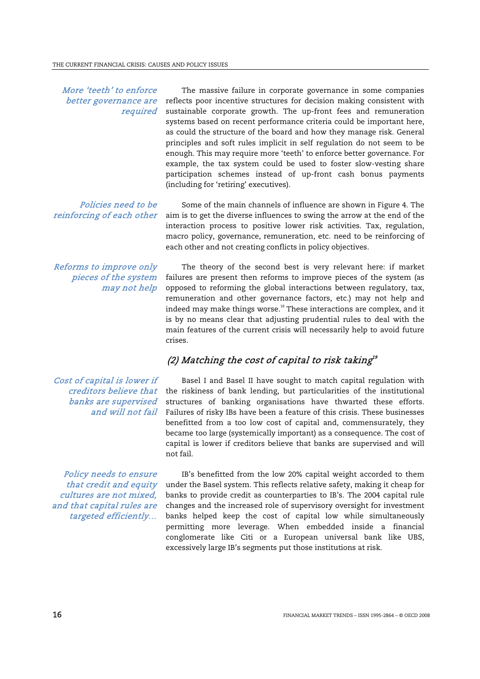#### More 'teeth' to enforce better governance are required

The massive failure in corporate governance in some companies reflects poor incentive structures for decision making consistent with sustainable corporate growth. The up-front fees and remuneration systems based on recent performance criteria could be important here, as could the structure of the board and how they manage risk. General principles and soft rules implicit in self regulation do not seem to be enough. This may require more 'teeth' to enforce better governance. For example, the tax system could be used to foster slow-vesting share participation schemes instead of up-front cash bonus payments (including for 'retiring' executives).

Policies need to be reinforcing of each other

Some of the main channels of influence are shown in Figure 4. The aim is to get the diverse influences to swing the arrow at the end of the interaction process to positive lower risk activities. Tax, regulation, macro policy, governance, remuneration, etc. need to be reinforcing of each other and not creating conflicts in policy objectives.

Reforms to improve only pieces of the system may not help

The theory of the second best is very relevant here: if market failures are present then reforms to improve pieces of the system (as opposed to reforming the global interactions between regulatory, tax, remuneration and other governance factors, etc.) may not help and indeed may make things worse.<sup>18</sup> These interactions are complex, and it is by no means clear that adjusting prudential rules to deal with the main features of the current crisis will necessarily help to avoid future crises.

# (2) Matching the cost of capital to risk taking  $\theta$

Cost of capital is lower if creditors believe that banks are supervised and will not fail

Policy needs to ensure that credit and equity cultures are not mixed, and that capital rules are targeted efficiently…

Basel I and Basel II have sought to match capital regulation with the riskiness of bank lending, but particularities of the institutional structures of banking organisations have thwarted these efforts. Failures of risky IBs have been a feature of this crisis. These businesses benefitted from a too low cost of capital and, commensurately, they became too large (systemically important) as a consequence. The cost of capital is lower if creditors believe that banks are supervised and will not fail.

IB's benefitted from the low 20% capital weight accorded to them under the Basel system. This reflects relative safety, making it cheap for banks to provide credit as counterparties to IB's. The 2004 capital rule changes and the increased role of supervisory oversight for investment banks helped keep the cost of capital low while simultaneously permitting more leverage. When embedded inside a financial conglomerate like Citi or a European universal bank like UBS, excessively large IB's segments put those institutions at risk.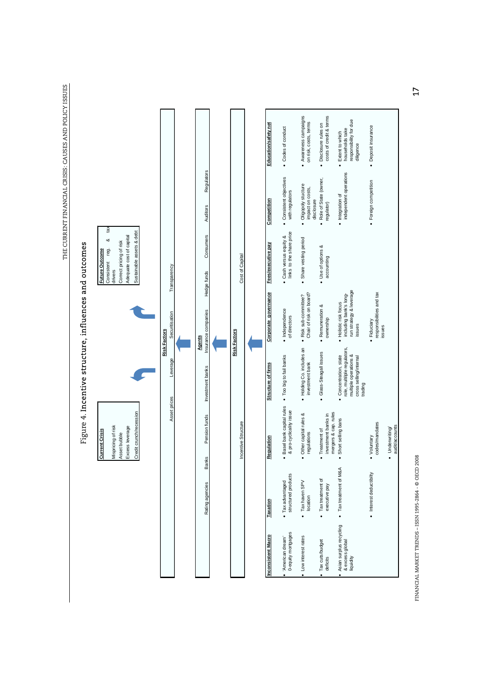THE CURRENT FINANCIAL CRISIS: CAUSES AND POLICY ISSUES THE CURRENT FINANCIAL CRISIS: CAUSES AND POLICY ISSUES



FINANCIAL MARKET TRENDS – ISSN 1995-2864 - © OECD 2008  $\sim$  OCCD 2008 1995-2864 - © OECD 2008 FINANCIAL MARKET TRENDS - ISSN 1995-2864 - @ OECD 2008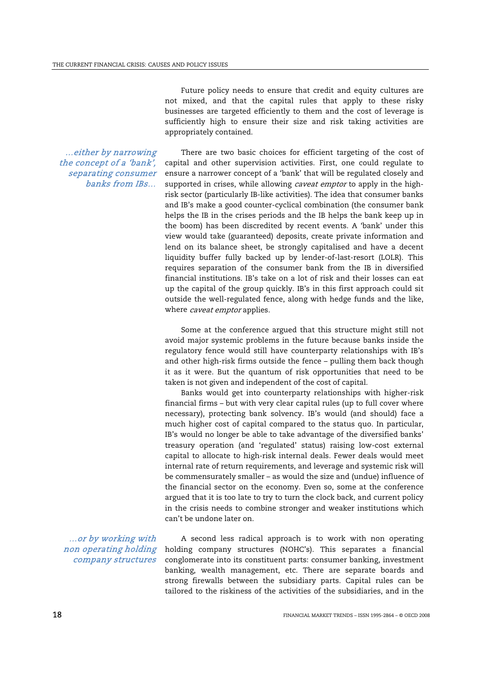Future policy needs to ensure that credit and equity cultures are not mixed, and that the capital rules that apply to these risky businesses are targeted efficiently to them and the cost of leverage is sufficiently high to ensure their size and risk taking activities are appropriately contained.

…either by narrowing the concept of a 'bank', separating consumer banks from IBs…

There are two basic choices for efficient targeting of the cost of capital and other supervision activities. First, one could regulate to ensure a narrower concept of a 'bank' that will be regulated closely and supported in crises, while allowing caveat emptor to apply in the highrisk sector (particularly IB-like activities). The idea that consumer banks and IB's make a good counter-cyclical combination (the consumer bank helps the IB in the crises periods and the IB helps the bank keep up in the boom) has been discredited by recent events. A 'bank' under this view would take (guaranteed) deposits, create private information and lend on its balance sheet, be strongly capitalised and have a decent liquidity buffer fully backed up by lender-of-last-resort (LOLR). This requires separation of the consumer bank from the IB in diversified financial institutions. IB's take on a lot of risk and their losses can eat up the capital of the group quickly. IB's in this first approach could sit outside the well-regulated fence, along with hedge funds and the like, where *caveat emptor* applies.

 Some at the conference argued that this structure might still not avoid major systemic problems in the future because banks inside the regulatory fence would still have counterparty relationships with IB's and other high-risk firms outside the fence – pulling them back though it as it were. But the quantum of risk opportunities that need to be taken is not given and independent of the cost of capital.

 Banks would get into counterparty relationships with higher-risk financial firms – but with very clear capital rules (up to full cover where necessary), protecting bank solvency. IB's would (and should) face a much higher cost of capital compared to the status quo. In particular, IB's would no longer be able to take advantage of the diversified banks' treasury operation (and 'regulated' status) raising low-cost external capital to allocate to high-risk internal deals. Fewer deals would meet internal rate of return requirements, and leverage and systemic risk will be commensurately smaller – as would the size and (undue) influence of the financial sector on the economy. Even so, some at the conference argued that it is too late to try to turn the clock back, and current policy in the crisis needs to combine stronger and weaker institutions which can't be undone later on.

…or by working with non operating holding company structures

A second less radical approach is to work with non operating holding company structures (NOHC's). This separates a financial conglomerate into its constituent parts: consumer banking, investment banking, wealth management, etc. There are separate boards and strong firewalls between the subsidiary parts. Capital rules can be tailored to the riskiness of the activities of the subsidiaries, and in the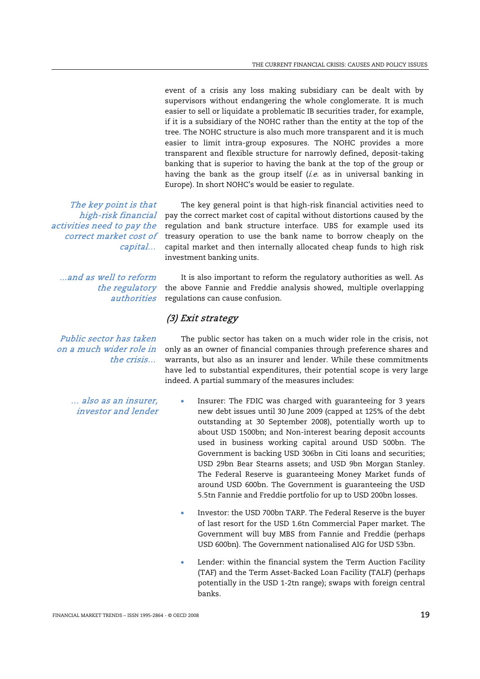event of a crisis any loss making subsidiary can be dealt with by supervisors without endangering the whole conglomerate. It is much easier to sell or liquidate a problematic IB securities trader, for example, if it is a subsidiary of the NOHC rather than the entity at the top of the tree. The NOHC structure is also much more transparent and it is much easier to limit intra-group exposures. The NOHC provides a more transparent and flexible structure for narrowly defined, deposit-taking banking that is superior to having the bank at the top of the group or having the bank as the group itself  $(i.e.$  as in universal banking in Europe). In short NOHC's would be easier to regulate.

The key point is that high-risk financial activities need to pay the correct market cost of capital…

...and as well to reform authorities

Public sector has taken on a much wider role in the crisis…

> … also as an insurer, investor and lender

The key general point is that high-risk financial activities need to pay the correct market cost of capital without distortions caused by the regulation and bank structure interface. UBS for example used its treasury operation to use the bank name to borrow cheaply on the capital market and then internally allocated cheap funds to high risk investment banking units.

the regulatory the above Fannie and Freddie analysis showed, multiple overlapping It is also important to reform the regulatory authorities as well. As regulations can cause confusion.

# (3) Exit strategy

The public sector has taken on a much wider role in the crisis, not only as an owner of financial companies through preference shares and warrants, but also as an insurer and lender. While these commitments have led to substantial expenditures, their potential scope is very large indeed. A partial summary of the measures includes:

- Insurer: The FDIC was charged with guaranteeing for 3 years new debt issues until 30 June 2009 (capped at 125% of the debt outstanding at 30 September 2008), potentially worth up to about USD 1500bn; and Non-interest bearing deposit accounts used in business working capital around USD 500bn. The Government is backing USD 306bn in Citi loans and securities; USD 29bn Bear Stearns assets; and USD 9bn Morgan Stanley. The Federal Reserve is guaranteeing Money Market funds of around USD 600bn. The Government is guaranteeing the USD 5.5tn Fannie and Freddie portfolio for up to USD 200bn losses.
	- Investor: the USD 700bn TARP. The Federal Reserve is the buyer of last resort for the USD 1.6tn Commercial Paper market. The Government will buy MBS from Fannie and Freddie (perhaps USD 600bn). The Government nationalised AIG for USD 53bn.
	- Lender: within the financial system the Term Auction Facility (TAF) and the Term Asset-Backed Loan Facility (TALF) (perhaps potentially in the USD 1-2tn range); swaps with foreign central banks.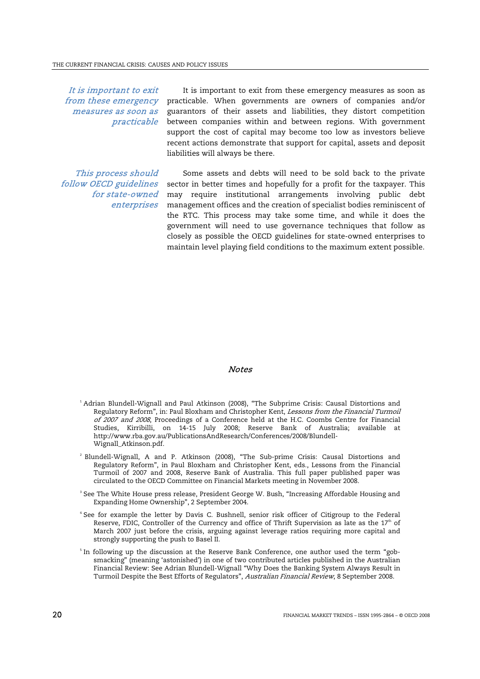It is important to exit from these emergency measures as soon as practicable

It is important to exit from these emergency measures as soon as practicable. When governments are owners of companies and/or guarantors of their assets and liabilities, they distort competition between companies within and between regions. With government support the cost of capital may become too low as investors believe recent actions demonstrate that support for capital, assets and deposit liabilities will always be there.

This process should follow OECD guidelines for state-owned enterprises

Some assets and debts will need to be sold back to the private sector in better times and hopefully for a profit for the taxpayer. This may require institutional arrangements involving public debt management offices and the creation of specialist bodies reminiscent of the RTC. This process may take some time, and while it does the government will need to use governance techniques that follow as closely as possible the OECD guidelines for state-owned enterprises to maintain level playing field conditions to the maximum extent possible.

#### Notes

- 1 Adrian Blundell-Wignall and Paul Atkinson (2008), "The Subprime Crisis: Causal Distortions and Regulatory Reform", in: Paul Bloxham and Christopher Kent, Lessons from the Financial Turmoil of 2007 and 2008, Proceedings of a Conference held at the H.C. Coombs Centre for Financial Studies, Kirribilli, on 14-15 July 2008; Reserve Bank of Australia; available at http://www.rba.gov.au/PublicationsAndResearch/Conferences/2008/Blundell-Wignall\_Atkinson.pdf.
- 2 Blundell-Wignall, A and P. Atkinson (2008), "The Sub-prime Crisis: Causal Distortions and Regulatory Reform", in Paul Bloxham and Christopher Kent, eds., Lessons from the Financial Turmoil of 2007 and 2008, Reserve Bank of Australia. This full paper published paper was circulated to the OECD Committee on Financial Markets meeting in November 2008.
- $\,3\,$  See The White House press release, President George W. Bush, "Increasing Affordable Housing and Expanding Home Ownership", 2 September 2004.
- 4 See for example the letter by Davis C. Bushnell, senior risk officer of Citigroup to the Federal Reserve, FDIC, Controller of the Currency and office of Thrift Supervision as late as the  $17<sup>th</sup>$  of March 2007 just before the crisis, arguing against leverage ratios requiring more capital and strongly supporting the push to Basel II.
- $^{\circ}$  In following up the discussion at the Reserve Bank Conference, one author used the term "gobsmacking" (meaning 'astonished') in one of two contributed articles published in the Australian Financial Review: See Adrian Blundell-Wignall "Why Does the Banking System Always Result in Turmoil Despite the Best Efforts of Regulators", Australian Financial Review, 8 September 2008.